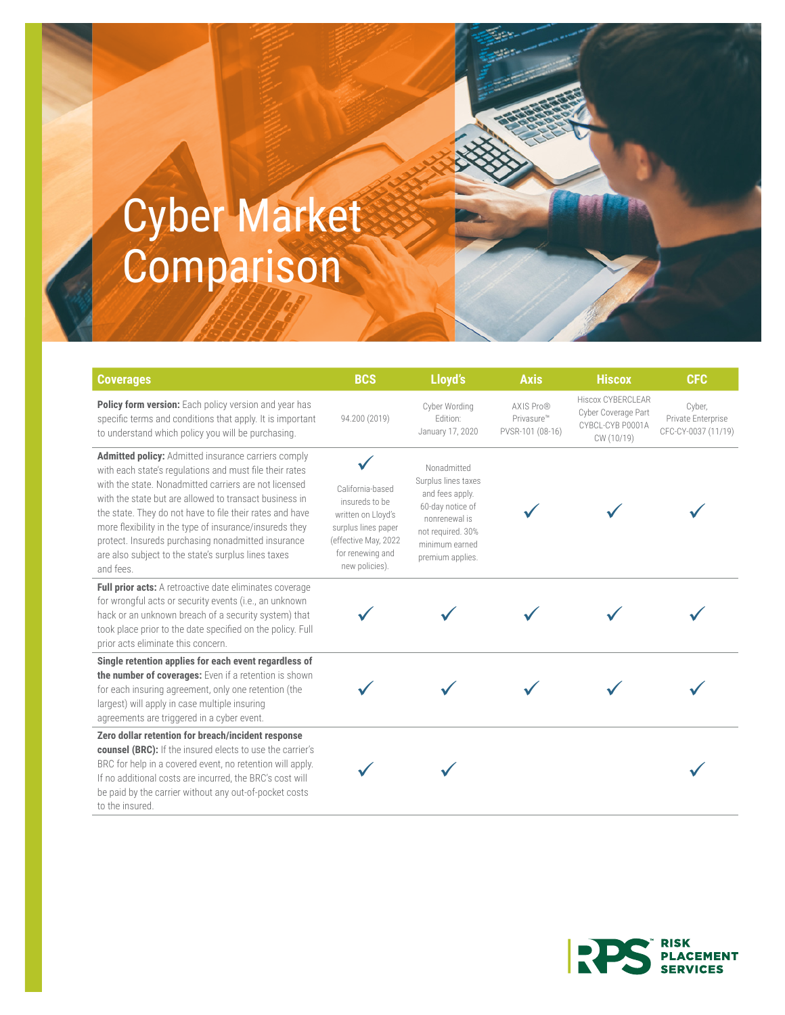## Cyber Market **Comparison**

| <b>Coverages</b>                                                                                                                                                                                                                                                                                                                                                                                                                                                                          | <b>BCS</b>                                                                                                                                    | Lloyd's                                                                                                                                               | <b>Axis</b>                                 | <b>Hiscox</b>                                                                     | <b>CFC</b>                                          |
|-------------------------------------------------------------------------------------------------------------------------------------------------------------------------------------------------------------------------------------------------------------------------------------------------------------------------------------------------------------------------------------------------------------------------------------------------------------------------------------------|-----------------------------------------------------------------------------------------------------------------------------------------------|-------------------------------------------------------------------------------------------------------------------------------------------------------|---------------------------------------------|-----------------------------------------------------------------------------------|-----------------------------------------------------|
| Policy form version: Each policy version and year has<br>specific terms and conditions that apply. It is important<br>to understand which policy you will be purchasing.                                                                                                                                                                                                                                                                                                                  | 94.200 (2019)                                                                                                                                 | Cyber Wording<br>Edition:<br>January 17, 2020                                                                                                         | AXIS Pro®<br>Privasure™<br>PVSR-101 (08-16) | <b>Hiscox CYBERCLEAR</b><br>Cyber Coverage Part<br>CYBCL-CYB P0001A<br>CW (10/19) | Cyber,<br>Private Enterprise<br>CFC-CY-0037 (11/19) |
| <b>Admitted policy:</b> Admitted insurance carriers comply<br>with each state's regulations and must file their rates<br>with the state. Nonadmitted carriers are not licensed<br>with the state but are allowed to transact business in<br>the state. They do not have to file their rates and have<br>more flexibility in the type of insurance/insureds they<br>protect. Insureds purchasing nonadmitted insurance<br>are also subject to the state's surplus lines taxes<br>and fees. | California-based<br>insureds to be<br>written on Lloyd's<br>surplus lines paper<br>(effective May, 2022<br>for renewing and<br>new policies). | Nonadmitted<br>Surplus lines taxes<br>and fees apply.<br>60-day notice of<br>nonrenewal is<br>not required. 30%<br>minimum earned<br>premium applies. |                                             |                                                                                   |                                                     |
| Full prior acts: A retroactive date eliminates coverage<br>for wrongful acts or security events (i.e., an unknown<br>hack or an unknown breach of a security system) that<br>took place prior to the date specified on the policy. Full<br>prior acts eliminate this concern.                                                                                                                                                                                                             |                                                                                                                                               |                                                                                                                                                       |                                             |                                                                                   |                                                     |
| Single retention applies for each event regardless of<br>the number of coverages: Even if a retention is shown<br>for each insuring agreement, only one retention (the<br>largest) will apply in case multiple insuring<br>agreements are triggered in a cyber event.                                                                                                                                                                                                                     |                                                                                                                                               |                                                                                                                                                       |                                             |                                                                                   |                                                     |
| Zero dollar retention for breach/incident response<br><b>counsel (BRC):</b> If the insured elects to use the carrier's<br>BRC for help in a covered event, no retention will apply.<br>If no additional costs are incurred, the BRC's cost will<br>be paid by the carrier without any out-of-pocket costs<br>to the insured.                                                                                                                                                              |                                                                                                                                               |                                                                                                                                                       |                                             |                                                                                   |                                                     |



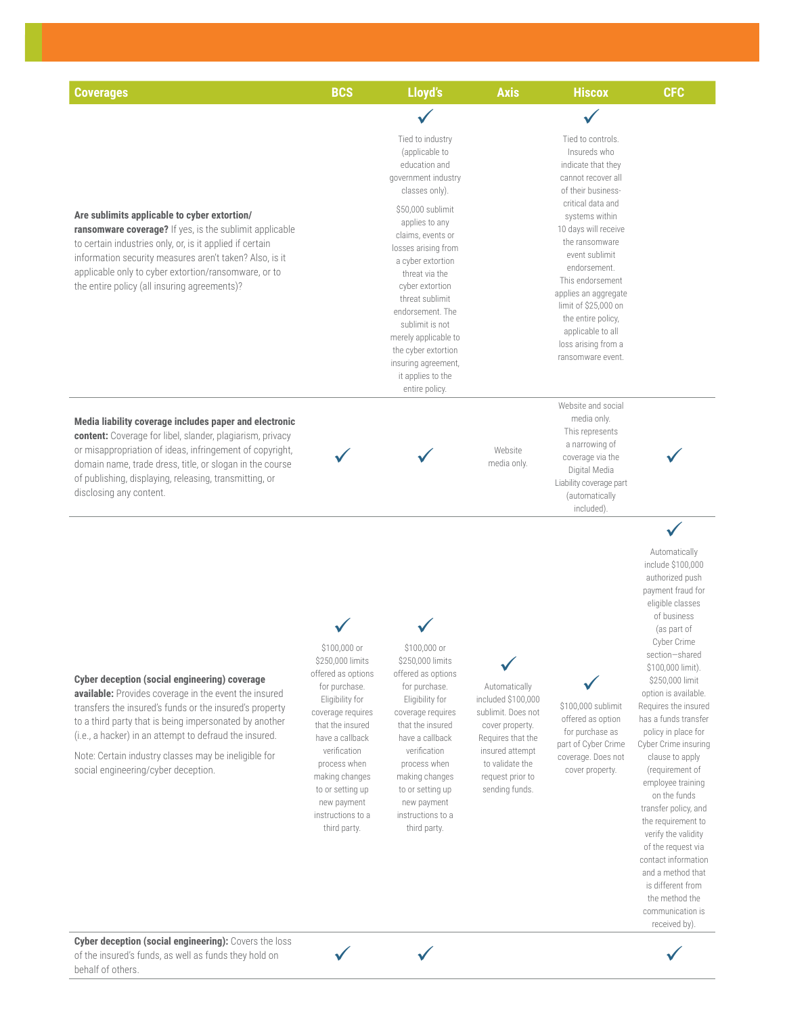| <b>Coverages</b>                                                                                                                                                                                                                                                                                                                                                                     | <b>BCS</b>                                                                                                                                                                                                                                                                       | Lloyd's                                                                                                                                                                                                                                                                          | <b>Axis</b>                                                                                                                                                                   | <b>Hiscox</b>                                                                                                                                                                                                                                                      | <b>CFC</b>                                                                                                                                                                                                                                                                                                                                                                                                                                                                                                                                                                                                                |
|--------------------------------------------------------------------------------------------------------------------------------------------------------------------------------------------------------------------------------------------------------------------------------------------------------------------------------------------------------------------------------------|----------------------------------------------------------------------------------------------------------------------------------------------------------------------------------------------------------------------------------------------------------------------------------|----------------------------------------------------------------------------------------------------------------------------------------------------------------------------------------------------------------------------------------------------------------------------------|-------------------------------------------------------------------------------------------------------------------------------------------------------------------------------|--------------------------------------------------------------------------------------------------------------------------------------------------------------------------------------------------------------------------------------------------------------------|---------------------------------------------------------------------------------------------------------------------------------------------------------------------------------------------------------------------------------------------------------------------------------------------------------------------------------------------------------------------------------------------------------------------------------------------------------------------------------------------------------------------------------------------------------------------------------------------------------------------------|
| Are sublimits applicable to cyber extortion/<br>ransomware coverage? If yes, is the sublimit applicable<br>to certain industries only, or, is it applied if certain<br>information security measures aren't taken? Also, is it<br>applicable only to cyber extortion/ransomware, or to<br>the entire policy (all insuring agreements)?                                               |                                                                                                                                                                                                                                                                                  | Tied to industry<br>(applicable to<br>education and<br>government industry<br>classes only).<br>\$50,000 sublimit<br>applies to any<br>claims, events or<br>losses arising from<br>a cyber extortion<br>threat via the<br>cyber extortion                                        |                                                                                                                                                                               | Tied to controls.<br>Insureds who<br>indicate that they<br>cannot recover all<br>of their business-<br>critical data and<br>systems within<br>10 days will receive<br>the ransomware<br>event sublimit<br>endorsement.<br>This endorsement<br>applies an aggregate |                                                                                                                                                                                                                                                                                                                                                                                                                                                                                                                                                                                                                           |
|                                                                                                                                                                                                                                                                                                                                                                                      |                                                                                                                                                                                                                                                                                  | threat sublimit<br>endorsement. The<br>sublimit is not<br>merely applicable to<br>the cyber extortion<br>insuring agreement,<br>it applies to the<br>entire policy.                                                                                                              |                                                                                                                                                                               | limit of \$25,000 on<br>the entire policy,<br>applicable to all<br>loss arising from a<br>ransomware event.                                                                                                                                                        |                                                                                                                                                                                                                                                                                                                                                                                                                                                                                                                                                                                                                           |
| Media liability coverage includes paper and electronic<br>content: Coverage for libel, slander, plagiarism, privacy<br>or misappropriation of ideas, infringement of copyright,<br>domain name, trade dress, title, or slogan in the course<br>of publishing, displaying, releasing, transmitting, or<br>disclosing any content.                                                     |                                                                                                                                                                                                                                                                                  |                                                                                                                                                                                                                                                                                  | Website<br>media only.                                                                                                                                                        | Website and social<br>media only.<br>This represents<br>a narrowing of<br>coverage via the<br>Digital Media<br>Liability coverage part<br>(automatically<br>included)                                                                                              |                                                                                                                                                                                                                                                                                                                                                                                                                                                                                                                                                                                                                           |
| Cyber deception (social engineering) coverage<br>available: Provides coverage in the event the insured<br>transfers the insured's funds or the insured's property<br>to a third party that is being impersonated by another<br>(i.e., a hacker) in an attempt to defraud the insured.<br>Note: Certain industry classes may be ineligible for<br>social engineering/cyber deception. | \$100,000 or<br>\$250,000 limits<br>offered as options<br>for purchase.<br>Eligibility for<br>coverage requires<br>that the insured<br>have a callback<br>verification<br>process when<br>making changes<br>to or setting up<br>new payment<br>instructions to a<br>third party. | \$100,000 or<br>\$250,000 limits<br>offered as options<br>for purchase.<br>Eligibility for<br>coverage requires<br>that the insured<br>have a callback<br>verification<br>process when<br>making changes<br>to or setting up<br>new payment<br>instructions to a<br>third party. | Automatically<br>included \$100,000<br>sublimit. Does not<br>cover property.<br>Requires that the<br>insured attempt<br>to validate the<br>request prior to<br>sending funds. | \$100,000 sublimit<br>offered as option<br>for purchase as<br>part of Cyber Crime<br>coverage. Does not<br>cover property.                                                                                                                                         | $\checkmark$<br>Automatically<br>include \$100,000<br>authorized push<br>payment fraud for<br>eligible classes<br>of business<br>(as part of<br>Cyber Crime<br>section-shared<br>\$100,000 limit).<br>\$250,000 limit<br>option is available.<br>Requires the insured<br>has a funds transfer<br>policy in place for<br>Cyber Crime insuring<br>clause to apply<br>(requirement of<br>employee training<br>on the funds<br>transfer policy, and<br>the requirement to<br>verify the validity<br>of the request via<br>contact information<br>and a method that<br>is different from<br>the method the<br>communication is |

ü ü ü



received by).

I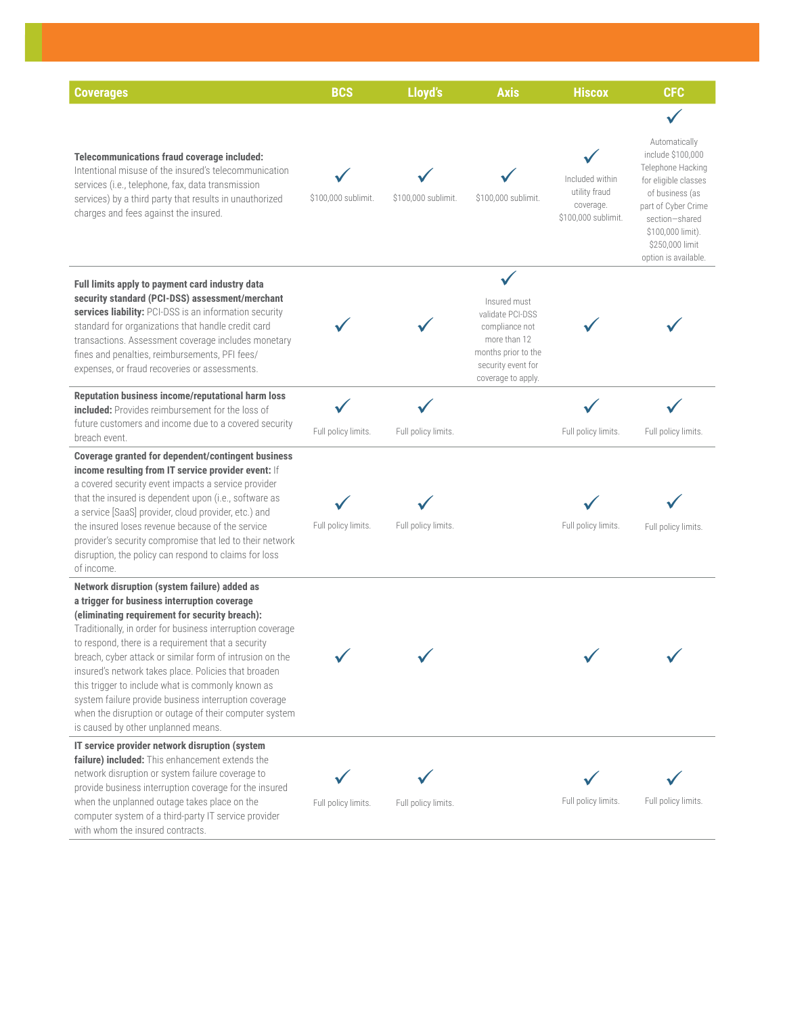| <b>Coverages</b>                                                                                                                                                                                                                                                                                                                                                                                                                                                                                                                                                                                      | <b>BCS</b>          | Lloyd's             | <b>Axis</b>                                                                                                                           | <b>Hiscox</b>                                                        | <b>CFC</b>                                                                                                                                                                                                  |
|-------------------------------------------------------------------------------------------------------------------------------------------------------------------------------------------------------------------------------------------------------------------------------------------------------------------------------------------------------------------------------------------------------------------------------------------------------------------------------------------------------------------------------------------------------------------------------------------------------|---------------------|---------------------|---------------------------------------------------------------------------------------------------------------------------------------|----------------------------------------------------------------------|-------------------------------------------------------------------------------------------------------------------------------------------------------------------------------------------------------------|
|                                                                                                                                                                                                                                                                                                                                                                                                                                                                                                                                                                                                       |                     |                     |                                                                                                                                       |                                                                      |                                                                                                                                                                                                             |
| Telecommunications fraud coverage included:<br>Intentional misuse of the insured's telecommunication<br>services (i.e., telephone, fax, data transmission<br>services) by a third party that results in unauthorized<br>charges and fees against the insured.                                                                                                                                                                                                                                                                                                                                         | \$100,000 sublimit. | \$100,000 sublimit. | \$100,000 sublimit.                                                                                                                   | Included within<br>utility fraud<br>coverage.<br>\$100,000 sublimit. | Automatically<br>include \$100,000<br>Telephone Hacking<br>for eligible classes<br>of business (as<br>part of Cyber Crime<br>section-shared<br>\$100,000 limit).<br>\$250,000 limit<br>option is available. |
| Full limits apply to payment card industry data<br>security standard (PCI-DSS) assessment/merchant<br>services liability: PCI-DSS is an information security<br>standard for organizations that handle credit card<br>transactions. Assessment coverage includes monetary<br>fines and penalties, reimbursements, PFI fees/<br>expenses, or fraud recoveries or assessments.                                                                                                                                                                                                                          |                     |                     | Insured must<br>validate PCI-DSS<br>compliance not<br>more than 12<br>months prior to the<br>security event for<br>coverage to apply. |                                                                      |                                                                                                                                                                                                             |
| Reputation business income/reputational harm loss<br><b>included:</b> Provides reimbursement for the loss of                                                                                                                                                                                                                                                                                                                                                                                                                                                                                          |                     |                     |                                                                                                                                       |                                                                      |                                                                                                                                                                                                             |
| future customers and income due to a covered security<br>breach event.                                                                                                                                                                                                                                                                                                                                                                                                                                                                                                                                | Full policy limits. | Full policy limits. |                                                                                                                                       | Full policy limits.                                                  | Full policy limits.                                                                                                                                                                                         |
| Coverage granted for dependent/contingent business<br>income resulting from IT service provider event: If<br>a covered security event impacts a service provider<br>that the insured is dependent upon (i.e., software as<br>a service [SaaS] provider, cloud provider, etc.) and<br>the insured loses revenue because of the service<br>provider's security compromise that led to their network<br>disruption, the policy can respond to claims for loss<br>of income.                                                                                                                              | Full policy limits. | Full policy limits. |                                                                                                                                       | Full policy limits.                                                  | Full policy limits.                                                                                                                                                                                         |
| Network disruption (system failure) added as<br>a trigger for business interruption coverage<br>(eliminating requirement for security breach):<br>Traditionally, in order for business interruption coverage<br>to respond, there is a requirement that a security<br>breach, cyber attack or similar form of intrusion on the<br>insured's network takes place. Policies that broaden<br>this trigger to include what is commonly known as<br>system failure provide business interruption coverage<br>when the disruption or outage of their computer system<br>is caused by other unplanned means. |                     |                     |                                                                                                                                       |                                                                      |                                                                                                                                                                                                             |
| IT service provider network disruption (system                                                                                                                                                                                                                                                                                                                                                                                                                                                                                                                                                        |                     |                     |                                                                                                                                       |                                                                      |                                                                                                                                                                                                             |
| failure) included: This enhancement extends the<br>network disruption or system failure coverage to<br>provide business interruption coverage for the insured<br>when the unplanned outage takes place on the<br>computer system of a third-party IT service provider<br>with whom the insured contracts.                                                                                                                                                                                                                                                                                             | Full policy limits. | Full policy limits. |                                                                                                                                       | Full policy limits.                                                  | Full policy limits.                                                                                                                                                                                         |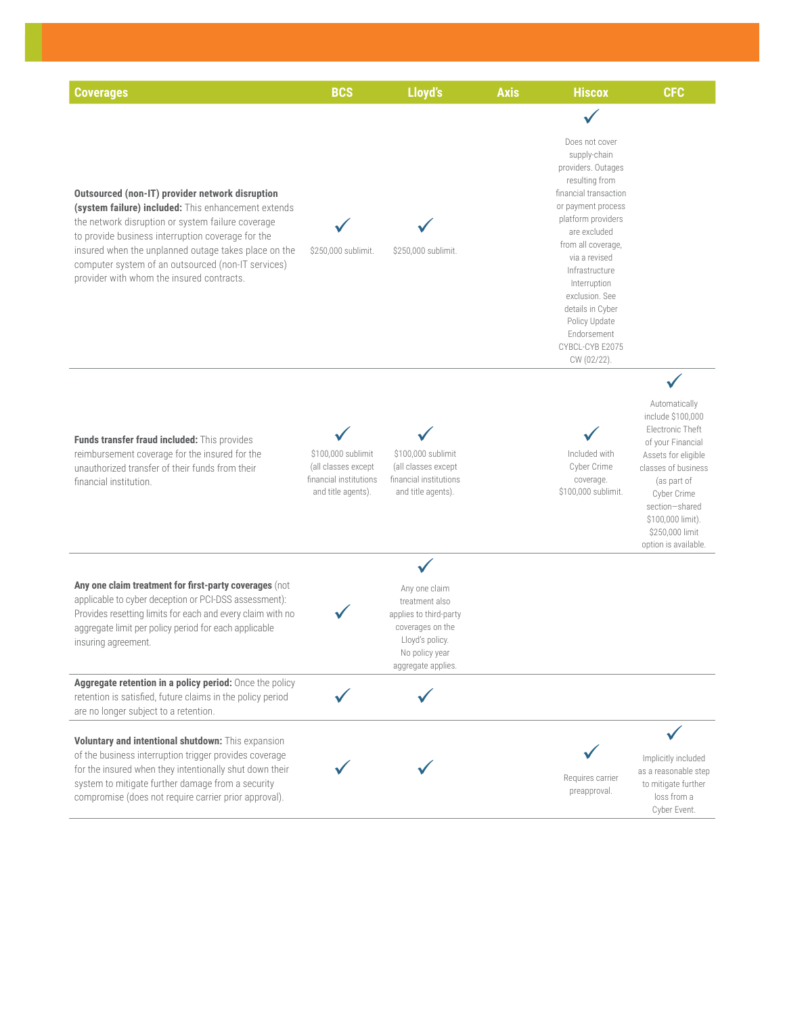| <b>Coverages</b>                                                                                                                                                                                                                                                                                                                                                            | <b>BCS</b>                                                                                | Lloyd's                                                                                                                                  | <b>Axis</b> | <b>Hiscox</b>                                                                                                                                                                                                                                                                                                                                | <b>CFC</b>                                                                                                                                                                                                                                |
|-----------------------------------------------------------------------------------------------------------------------------------------------------------------------------------------------------------------------------------------------------------------------------------------------------------------------------------------------------------------------------|-------------------------------------------------------------------------------------------|------------------------------------------------------------------------------------------------------------------------------------------|-------------|----------------------------------------------------------------------------------------------------------------------------------------------------------------------------------------------------------------------------------------------------------------------------------------------------------------------------------------------|-------------------------------------------------------------------------------------------------------------------------------------------------------------------------------------------------------------------------------------------|
|                                                                                                                                                                                                                                                                                                                                                                             |                                                                                           |                                                                                                                                          |             |                                                                                                                                                                                                                                                                                                                                              |                                                                                                                                                                                                                                           |
| Outsourced (non-IT) provider network disruption<br>(system failure) included: This enhancement extends<br>the network disruption or system failure coverage<br>to provide business interruption coverage for the<br>insured when the unplanned outage takes place on the<br>computer system of an outsourced (non-IT services)<br>provider with whom the insured contracts. | \$250,000 sublimit.                                                                       | \$250,000 sublimit.                                                                                                                      |             | Does not cover<br>supply-chain<br>providers. Outages<br>resulting from<br>financial transaction<br>or payment process<br>platform providers<br>are excluded<br>from all coverage,<br>via a revised<br>Infrastructure<br>Interruption<br>exclusion. See<br>details in Cyber<br>Policy Update<br>Endorsement<br>CYBCL-CYB E2075<br>CW (02/22). |                                                                                                                                                                                                                                           |
| Funds transfer fraud included: This provides<br>reimbursement coverage for the insured for the<br>unauthorized transfer of their funds from their<br>financial institution.                                                                                                                                                                                                 | \$100,000 sublimit<br>(all classes except<br>financial institutions<br>and title agents). | \$100,000 sublimit<br>(all classes except<br>financial institutions<br>and title agents).                                                |             | Included with<br>Cyber Crime<br>coverage.<br>\$100,000 sublimit.                                                                                                                                                                                                                                                                             | Automatically<br>include \$100,000<br>Electronic Theft<br>of your Financial<br>Assets for eligible<br>classes of business<br>(as part of<br>Cyber Crime<br>section-shared<br>\$100,000 limit).<br>\$250,000 limit<br>option is available. |
| Any one claim treatment for first-party coverages (not<br>applicable to cyber deception or PCI-DSS assessment):<br>Provides resetting limits for each and every claim with no<br>aggregate limit per policy period for each applicable<br>insuring agreement.                                                                                                               |                                                                                           | Any one claim<br>treatment also<br>applies to third-party<br>coverages on the<br>Lloyd's policy.<br>No policy year<br>aggregate applies. |             |                                                                                                                                                                                                                                                                                                                                              |                                                                                                                                                                                                                                           |
| Aggregate retention in a policy period: Once the policy<br>retention is satisfied, future claims in the policy period<br>are no longer subject to a retention.                                                                                                                                                                                                              |                                                                                           |                                                                                                                                          |             |                                                                                                                                                                                                                                                                                                                                              |                                                                                                                                                                                                                                           |
| Voluntary and intentional shutdown: This expansion<br>of the business interruption trigger provides coverage<br>for the insured when they intentionally shut down their<br>system to mitigate further damage from a security<br>compromise (does not require carrier prior approval).                                                                                       |                                                                                           |                                                                                                                                          |             | Requires carrier<br>preapproval.                                                                                                                                                                                                                                                                                                             | Implicitly included<br>as a reasonable step<br>to mitigate further<br>loss from a<br>Cyber Event.                                                                                                                                         |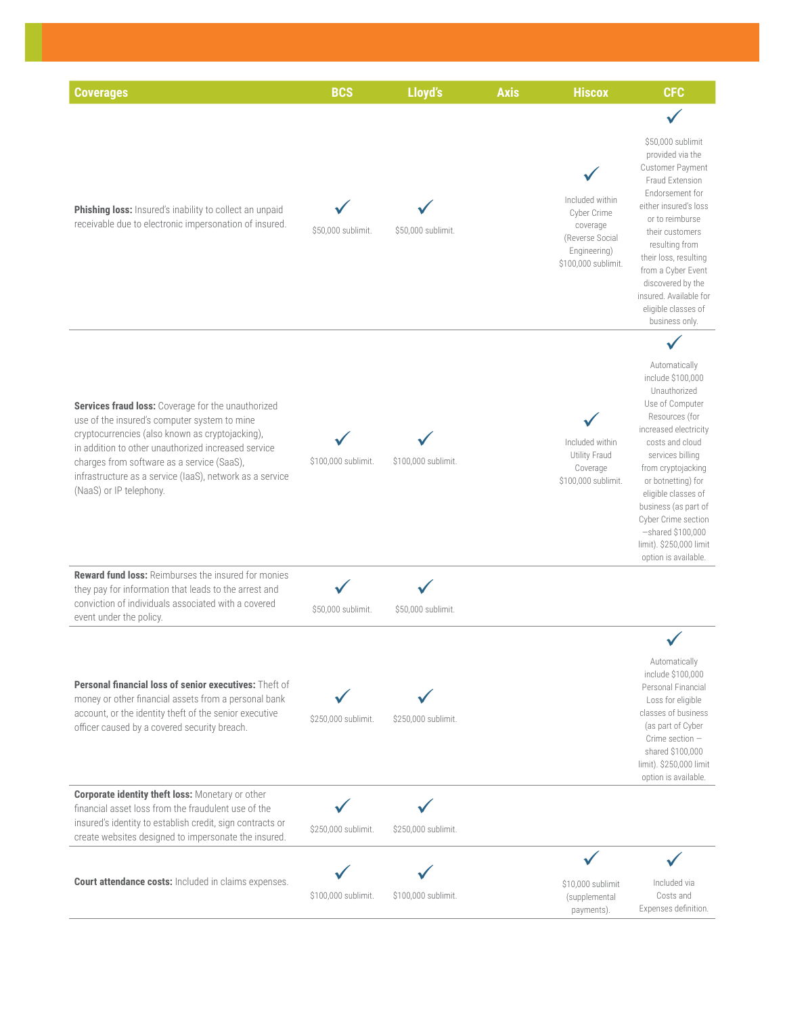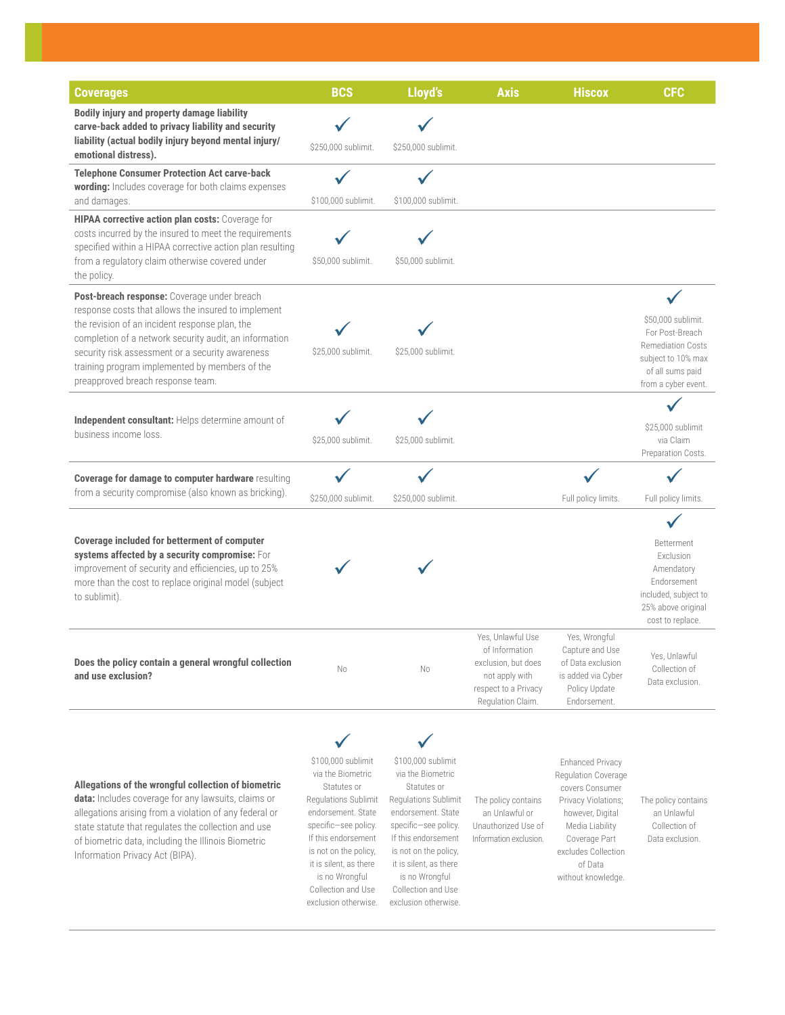| <b>Coverages</b>                                                                                                                                                                                                                                                                                                                                          | <b>BCS</b>                                                                                                                                                                                                                                                             | Lloyd's                                                                                                                                                                                                                                                                | <b>Axis</b>                                                                                                               | <b>Hiscox</b>                                                                                                                                                                                            | <b>CFC</b>                                                                                                                         |
|-----------------------------------------------------------------------------------------------------------------------------------------------------------------------------------------------------------------------------------------------------------------------------------------------------------------------------------------------------------|------------------------------------------------------------------------------------------------------------------------------------------------------------------------------------------------------------------------------------------------------------------------|------------------------------------------------------------------------------------------------------------------------------------------------------------------------------------------------------------------------------------------------------------------------|---------------------------------------------------------------------------------------------------------------------------|----------------------------------------------------------------------------------------------------------------------------------------------------------------------------------------------------------|------------------------------------------------------------------------------------------------------------------------------------|
| Bodily injury and property damage liability<br>carve-back added to privacy liability and security<br>liability (actual bodily injury beyond mental injury/<br>emotional distress).                                                                                                                                                                        | \$250,000 sublimit.                                                                                                                                                                                                                                                    | \$250,000 sublimit.                                                                                                                                                                                                                                                    |                                                                                                                           |                                                                                                                                                                                                          |                                                                                                                                    |
| <b>Telephone Consumer Protection Act carve-back</b><br>wording: Includes coverage for both claims expenses<br>and damages.                                                                                                                                                                                                                                | \$100,000 sublimit.                                                                                                                                                                                                                                                    | \$100,000 sublimit.                                                                                                                                                                                                                                                    |                                                                                                                           |                                                                                                                                                                                                          |                                                                                                                                    |
| HIPAA corrective action plan costs: Coverage for<br>costs incurred by the insured to meet the requirements<br>specified within a HIPAA corrective action plan resulting<br>from a regulatory claim otherwise covered under<br>the policy.                                                                                                                 | \$50,000 sublimit.                                                                                                                                                                                                                                                     | \$50,000 sublimit.                                                                                                                                                                                                                                                     |                                                                                                                           |                                                                                                                                                                                                          |                                                                                                                                    |
| Post-breach response: Coverage under breach<br>response costs that allows the insured to implement<br>the revision of an incident response plan, the<br>completion of a network security audit, an information<br>security risk assessment or a security awareness<br>training program implemented by members of the<br>preapproved breach response team. | \$25,000 sublimit.                                                                                                                                                                                                                                                     | \$25,000 sublimit.                                                                                                                                                                                                                                                     |                                                                                                                           |                                                                                                                                                                                                          | \$50,000 sublimit.<br>For Post-Breach<br><b>Remediation Costs</b><br>subject to 10% max<br>of all sums paid<br>from a cyber event. |
| Independent consultant: Helps determine amount of<br>business income loss.                                                                                                                                                                                                                                                                                | \$25,000 sublimit.                                                                                                                                                                                                                                                     | \$25,000 sublimit.                                                                                                                                                                                                                                                     |                                                                                                                           |                                                                                                                                                                                                          | \$25,000 sublimit<br>via Claim<br>Preparation Costs.                                                                               |
| Coverage for damage to computer hardware resulting<br>from a security compromise (also known as bricking).                                                                                                                                                                                                                                                | \$250,000 sublimit.                                                                                                                                                                                                                                                    | \$250,000 sublimit.                                                                                                                                                                                                                                                    |                                                                                                                           | Full policy limits.                                                                                                                                                                                      | Full policy limits.                                                                                                                |
| <b>Coverage included for betterment of computer</b><br>systems affected by a security compromise: For<br>improvement of security and efficiencies, up to 25%<br>more than the cost to replace original model (subject<br>to sublimit).                                                                                                                    |                                                                                                                                                                                                                                                                        |                                                                                                                                                                                                                                                                        |                                                                                                                           |                                                                                                                                                                                                          | Betterment<br>Exclusion<br>Amendatory<br>Endorsement<br>included, subject to<br>25% above original<br>cost to replace.             |
| Does the policy contain a general wrongful collection<br>and use exclusion?                                                                                                                                                                                                                                                                               | Νo                                                                                                                                                                                                                                                                     | No                                                                                                                                                                                                                                                                     | Yes, Unlawful Use<br>of Information<br>exclusion, but does<br>not apply with<br>respect to a Privacy<br>Regulation Claim. | Yes, Wrongful<br>Capture and Use<br>of Data exclusion<br>is added via Cyber<br>Policy Update<br>Endorsement.                                                                                             | Yes, Unlawful<br>Collection of<br>Data exclusion.                                                                                  |
| Allegations of the wrongful collection of biometric<br>data: Includes coverage for any lawsuits, claims or<br>allegations arising from a violation of any federal or<br>state statute that regulates the collection and use<br>of biometric data, including the Illinois Biometric<br>Information Privacy Act (BIPA).                                     | \$100,000 sublimit<br>via the Biometric<br>Statutes or<br>Regulations Sublimit<br>endorsement. State<br>specific-see policy.<br>If this endorsement<br>is not on the policy,<br>it is silent, as there<br>is no Wrongful<br>Collection and Use<br>exclusion otherwise. | \$100,000 sublimit<br>via the Biometric<br>Statutes or<br>Regulations Sublimit<br>endorsement. State<br>specific-see policy.<br>If this endorsement<br>is not on the policy,<br>it is silent, as there<br>is no Wrongful<br>Collection and Use<br>exclusion otherwise. | The policy contains<br>an Unlawful or<br>Unauthorized Use of<br>Information exclusion.                                    | <b>Enhanced Privacy</b><br>Regulation Coverage<br>covers Consumer<br>Privacy Violations;<br>however, Digital<br>Media Liability<br>Coverage Part<br>excludes Collection<br>of Data<br>without knowledge. | The policy contains<br>an Unlawful<br>Collection of<br>Data exclusion.                                                             |